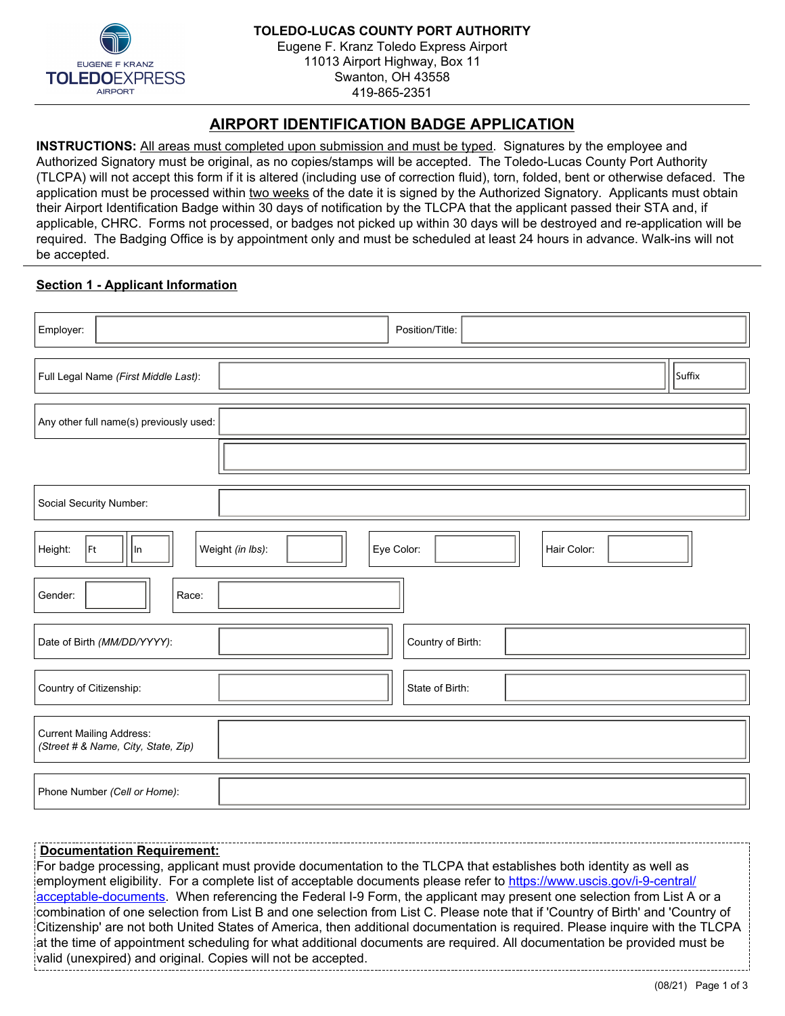

# **AIRPORT IDENTIFICATION BADGE APPLICATION**

**INSTRUCTIONS:** All areas must completed upon submission and must be typed. Signatures by the employee and Authorized Signatory must be original, as no copies/stamps will be accepted. The Toledo-Lucas County Port Authority (TLCPA) will not accept this form if it is altered (including use of correction fluid), torn, folded, bent or otherwise defaced. The application must be processed within two weeks of the date it is signed by the Authorized Signatory. Applicants must obtain their Airport Identification Badge within 30 days of notification by the TLCPA that the applicant passed their STA and, if applicable, CHRC. Forms not processed, or badges not picked up within 30 days will be destroyed and re-application will be required. The Badging Office is by appointment only and must be scheduled at least 24 hours in advance. Walk-ins will not be accepted.

# **Section 1 - Applicant Information**

| Position/Title:<br>Employer:                                                                   |                             |
|------------------------------------------------------------------------------------------------|-----------------------------|
| Full Legal Name (First Middle Last):                                                           | Suffix                      |
| Any other full name(s) previously used:                                                        |                             |
|                                                                                                |                             |
| Social Security Number:                                                                        |                             |
| Weight (in lbs):<br>Eye Color:<br> Ft<br>Hair Color:<br>Height:<br> In<br>$\blacktriangledown$ |                             |
| Gender:<br>Race:<br>$\blacktriangledown$<br>$\blacktriangledown$                               |                             |
| Country of Birth:<br>Date of Birth (MM/DD/YYYY):                                               | $\blacktriangledown$        |
| $\left  \mathbf{v} \right $<br>Country of Citizenship:<br>State of Birth:                      | $\left  \mathbf{v} \right $ |
| <b>Current Mailing Address:</b><br>(Street # & Name, City, State, Zip)                         |                             |
| Phone Number (Cell or Home):                                                                   |                             |

# **Documentation Requirement:**

For badge processing, applicant must provide documentation to the TLCPA that establishes both identity as well as employment eligibility. For a complete list of acceptable documents please refer to [https://www.uscis.gov/i-9-central/](https://www.uscis.gov/i-9-central/acceptable-documents) [acceptable-documents](https://www.uscis.gov/i-9-central/acceptable-documents). When referencing the Federal I-9 Form, the applicant may present one selection from List A or a combination of one selection from List B and one selection from List C. Please note that if 'Country of Birth' and 'Country of Citizenship' are not both United States of America, then additional documentation is required. Please inquire with the TLCPA at the time of appointment scheduling for what additional documents are required. All documentation be provided must be valid (unexpired) and original. Copies will not be accepted.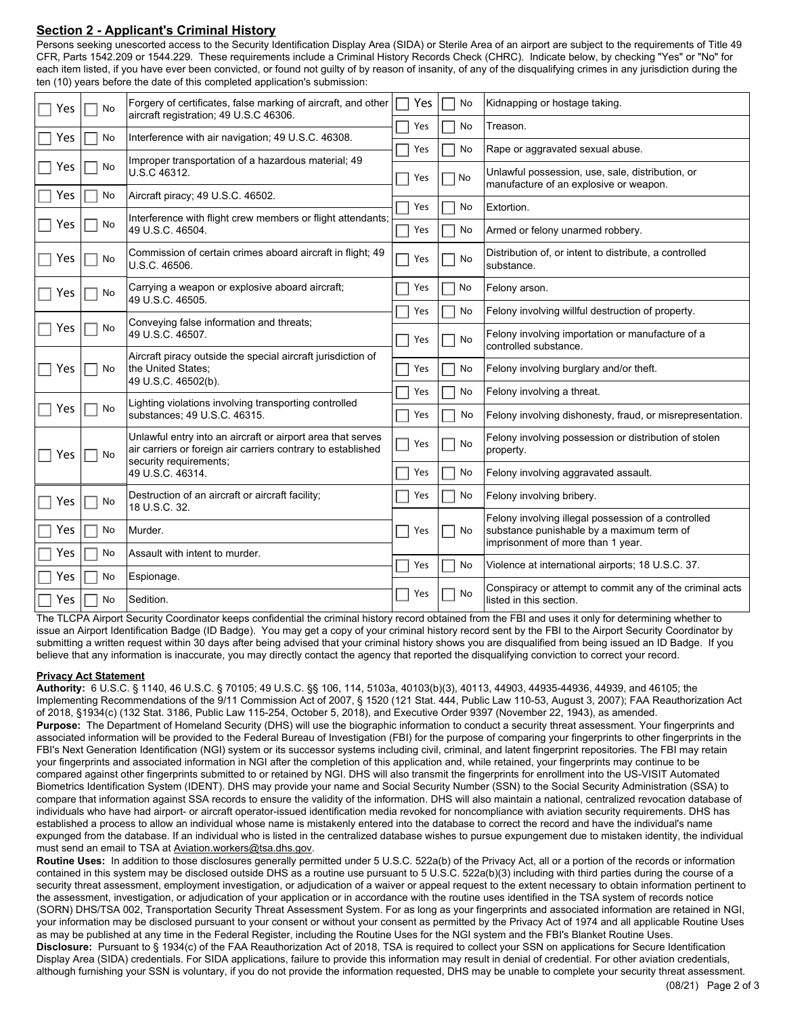## **Section 2 - Applicant's Criminal History**

Persons seeking unescorted access to the Security Identification Display Area (SIDA) or Sterile Area of an airport are subject to the requirements of Title 49 CFR, Parts 1542.209 or 1544.229. These requirements include a Criminal History Records Check (CHRC). Indicate below, by checking "Yes" or "No" for each item listed, if you have ever been convicted, or found not guilty of by reason of insanity, of any of the disqualifying crimes in any jurisdiction during the ten (10) years before the date of this completed application's submission:

| Yes | No                                        | Forgery of certificates, false marking of aircraft, and other<br>aircraft registration; 49 U.S.C 46306.                                               | Yes | No        | Kidnapping or hostage taking.                                                              |
|-----|-------------------------------------------|-------------------------------------------------------------------------------------------------------------------------------------------------------|-----|-----------|--------------------------------------------------------------------------------------------|
| Yes | No                                        | Interference with air navigation; 49 U.S.C. 46308.                                                                                                    | Yes | No        | Treason.                                                                                   |
|     |                                           |                                                                                                                                                       | Yes | No        | Rape or aggravated sexual abuse.                                                           |
| Yes | No                                        | Improper transportation of a hazardous material; 49<br>U.S.C 46312.                                                                                   | Yes | $\Box$ No | Unlawful possession, use, sale, distribution, or<br>manufacture of an explosive or weapon. |
| Yes | No                                        | Aircraft piracy; 49 U.S.C. 46502.                                                                                                                     | Yes | No        | Extortion.                                                                                 |
| Yes | No                                        | Interference with flight crew members or flight attendants;<br>49 U.S.C. 46504.                                                                       | Yes | No        | Armed or felony unarmed robbery.                                                           |
| Yes | No                                        | Commission of certain crimes aboard aircraft in flight; 49<br>U.S.C. 46506.                                                                           | Yes | No        | Distribution of, or intent to distribute, a controlled<br>substance.                       |
| Yes | No                                        | Carrying a weapon or explosive aboard aircraft;<br>49 U.S.C. 46505.                                                                                   | Yes | No        | Felony arson.                                                                              |
|     |                                           |                                                                                                                                                       | Yes | No        | Felony involving willful destruction of property.                                          |
| Yes | No                                        | Conveying false information and threats;<br>49 U.S.C. 46507.                                                                                          | Yes | No        | Felony involving importation or manufacture of a<br>controlled substance.                  |
| Yes | No                                        | Aircraft piracy outside the special aircraft jurisdiction of<br>the United States:<br>49 U.S.C. 46502(b).                                             | Yes | No        | Felony involving burglary and/or theft.                                                    |
|     |                                           |                                                                                                                                                       |     |           |                                                                                            |
|     |                                           | Lighting violations involving transporting controlled                                                                                                 | Yes | No        | Felony involving a threat.                                                                 |
|     | Yes<br>No<br>substances; 49 U.S.C. 46315. |                                                                                                                                                       | Yes | No        | Felony involving dishonesty, fraud, or misrepresentation.                                  |
| Yes | No                                        | Unlawful entry into an aircraft or airport area that serves<br>air carriers or foreign air carriers contrary to established<br>security requirements; | Yes | No        | Felony involving possession or distribution of stolen<br>property.                         |
|     |                                           | 49 U.S.C. 46314.                                                                                                                                      |     | No        | Felony involving aggravated assault.                                                       |
| Yes | No                                        | Destruction of an aircraft or aircraft facility;<br>18 U.S.C. 32.                                                                                     | Yes | No        | Felony involving bribery.                                                                  |
|     |                                           |                                                                                                                                                       |     |           | Felony involving illegal possession of a controlled                                        |
| Yes | No                                        | Murder.                                                                                                                                               | Yes | No<br>×.  | substance punishable by a maximum term of<br>imprisonment of more than 1 year.             |
| Yes | No                                        | Assault with intent to murder.                                                                                                                        | Yes | No        | Violence at international airports; 18 U.S.C. 37.                                          |
| Yes | No                                        | Espionage.                                                                                                                                            |     |           |                                                                                            |
| Yes | No                                        | Sedition.                                                                                                                                             | Yes | No        | Conspiracy or attempt to commit any of the criminal acts<br>listed in this section.        |

The TLCPA Airport Security Coordinator keeps confidential the criminal history record obtained from the FBI and uses it only for determining whether to issue an Airport Identification Badge (ID Badge). You may get a copy of your criminal history record sent by the FBI to the Airport Security Coordinator by submitting a written request within 30 days after being advised that your criminal history shows you are disqualified from being issued an ID Badge. If you believe that any information is inaccurate, you may directly contact the agency that reported the disqualifying conviction to correct your record.

#### **Privacy Act Statement**

**Authority:** 6 U.S.C. § 1140, 46 U.S.C. § 70105; 49 U.S.C. §§ 106, 114, 5103a, 40103(b)(3), 40113, 44903, 44935-44936, 44939, and 46105; the Implementing Recommendations of the 9/11 Commission Act of 2007, § 1520 (121 Stat. 444, Public Law 110-53, August 3, 2007); FAA Reauthorization Act of 2018, §1934(c) (132 Stat. 3186, Public Law 115-254, October 5, 2018), and Executive Order 9397 (November 22, 1943), as amended. **Purpose:** The Department of Homeland Security (DHS) will use the biographic information to conduct a security threat assessment. Your fingerprints and associated information will be provided to the Federal Bureau of Investigation (FBI) for the purpose of comparing your fingerprints to other fingerprints in the FBI's Next Generation Identification (NGI) system or its successor systems including civil, criminal, and latent fingerprint repositories. The FBI may retain your fingerprints and associated information in NGI after the completion of this application and, while retained, your fingerprints may continue to be compared against other fingerprints submitted to or retained by NGI. DHS will also transmit the fingerprints for enrollment into the US-VISIT Automated Biometrics Identification System (IDENT). DHS may provide your name and Social Security Number (SSN) to the Social Security Administration (SSA) to compare that information against SSA records to ensure the validity of the information. DHS will also maintain a national, centralized revocation database of individuals who have had airport- or aircraft operator-issued identification media revoked for noncompliance with aviation security requirements. DHS has established a process to allow an individual whose name is mistakenly entered into the database to correct the record and have the individual's name expunged from the database. If an individual who is listed in the centralized database wishes to pursue expungement due to mistaken identity, the individual must send an email to TSA at Aviation.workers@tsa.dhs.gov.

**Routine Uses:** In addition to those disclosures generally permitted under 5 U.S.C. 522a(b) of the Privacy Act, all or a portion of the records or information contained in this system may be disclosed outside DHS as a routine use pursuant to 5 U.S.C. 522a(b)(3) including with third parties during the course of a security threat assessment, employment investigation, or adjudication of a waiver or appeal request to the extent necessary to obtain information pertinent to the assessment, investigation, or adjudication of your application or in accordance with the routine uses identified in the TSA system of records notice (SORN) DHS/TSA 002, Transportation Security Threat Assessment System. For as long as your fingerprints and associated information are retained in NGI, your information may be disclosed pursuant to your consent or without your consent as permitted by the Privacy Act of 1974 and all applicable Routine Uses as may be published at any time in the Federal Register, including the Routine Uses for the NGI system and the FBI's Blanket Routine Uses. **Disclosure:** Pursuant to § 1934(c) of the FAA Reauthorization Act of 2018, TSA is required to collect your SSN on applications for Secure Identification Display Area (SIDA) credentials. For SIDA applications, failure to provide this information may result in denial of credential. For other aviation credentials, although furnishing your SSN is voluntary, if you do not provide the information requested, DHS may be unable to complete your security threat assessment.